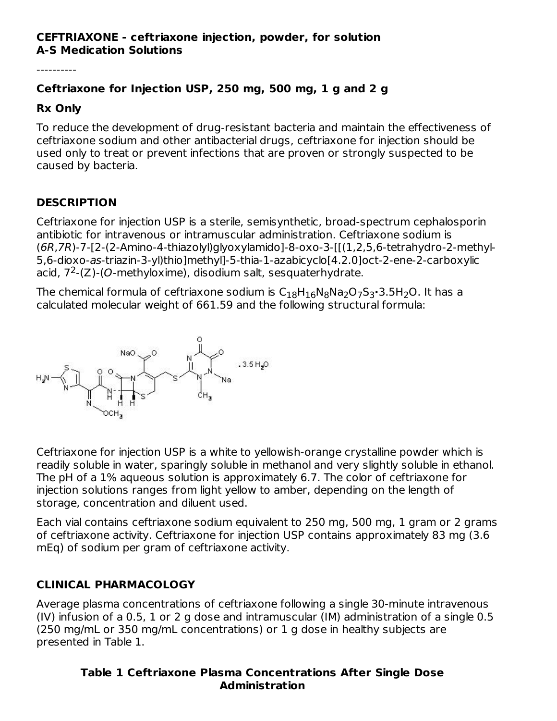#### **CEFTRIAXONE - ceftriaxone injection, powder, for solution A-S Medication Solutions**

----------

## **Ceftriaxone for Injection USP, 250 mg, 500 mg, 1 g and 2 g**

#### **Rx Only**

To reduce the development of drug-resistant bacteria and maintain the effectiveness of ceftriaxone sodium and other antibacterial drugs, ceftriaxone for injection should be used only to treat or prevent infections that are proven or strongly suspected to be caused by bacteria.

### **DESCRIPTION**

Ceftriaxone for injection USP is a sterile, semisynthetic, broad-spectrum cephalosporin antibiotic for intravenous or intramuscular administration. Ceftriaxone sodium is (6R,7R)-7-[2-(2-Amino-4-thiazolyl)glyoxylamido]-8-oxo-3-[[(1,2,5,6-tetrahydro-2-methyl-5,6-dioxo-as-triazin-3-yl)thio]methyl]-5-thia-1-azabicyclo[4.2.0]oct-2-ene-2-carboxylic acid,  $7^2$ -(Z)-(O-methyloxime), disodium salt, sesquaterhydrate.

The chemical formula of ceftriaxone sodium is  $\mathsf{C}_{18}\mathsf{H}_{16}\mathsf{N}_{8}\mathsf{N}_{\mathsf{a}2}\mathsf{O}_{7}\mathsf{S}_{3}$ •3.5H $_{2}$ O. It has a calculated molecular weight of 661.59 and the following structural formula:



Ceftriaxone for injection USP is a white to yellowish-orange crystalline powder which is readily soluble in water, sparingly soluble in methanol and very slightly soluble in ethanol. The pH of a 1% aqueous solution is approximately 6.7. The color of ceftriaxone for injection solutions ranges from light yellow to amber, depending on the length of storage, concentration and diluent used.

Each vial contains ceftriaxone sodium equivalent to 250 mg, 500 mg, 1 gram or 2 grams of ceftriaxone activity. Ceftriaxone for injection USP contains approximately 83 mg (3.6 mEq) of sodium per gram of ceftriaxone activity.

## **CLINICAL PHARMACOLOGY**

Average plasma concentrations of ceftriaxone following a single 30-minute intravenous (IV) infusion of a 0.5, 1 or 2 g dose and intramuscular (IM) administration of a single 0.5 (250 mg/mL or 350 mg/mL concentrations) or 1 g dose in healthy subjects are presented in Table 1.

### **Table 1 Ceftriaxone Plasma Concentrations After Single Dose Administration**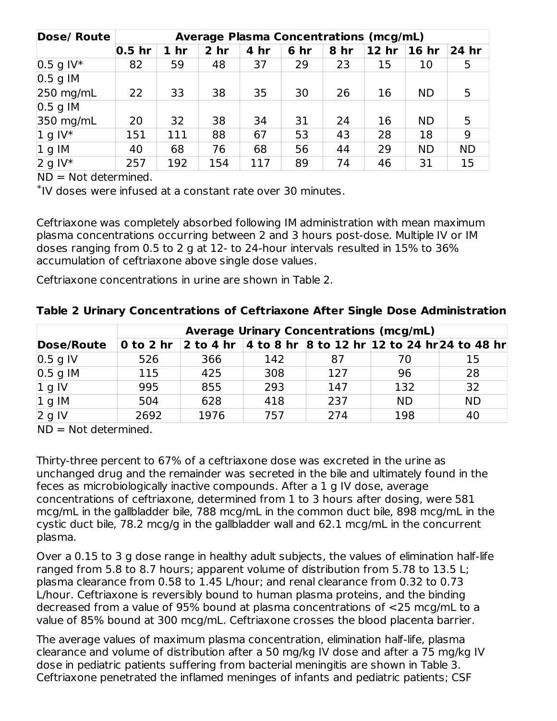| Dose/ Route | <b>Average Plasma Concentrations (mcg/mL)</b> |      |                 |      |      |      |       |              |           |
|-------------|-----------------------------------------------|------|-----------------|------|------|------|-------|--------------|-----------|
|             | $0.5$ hr                                      | 1 hr | 2 <sub>hr</sub> | 4 hr | 6 hr | 8 hr | 12 hr | <b>16 hr</b> | 24 hr     |
| $0.5$ g IV* | 82                                            | 59   | 48              | 37   | 29   | 23   | 15    | 10           | 5         |
| $0.5$ g IM  |                                               |      |                 |      |      |      |       |              |           |
| $250$ mg/mL | 22                                            | 33   | 38              | 35   | 30   | 26   | 16    | <b>ND</b>    | 5         |
| $0.5$ g IM  |                                               |      |                 |      |      |      |       |              |           |
| 350 mg/mL   | 20                                            | 32   | 38              | 34   | 31   | 24   | 16    | <b>ND</b>    | 5         |
| $1$ g IV*   | 151                                           | 111  | 88              | 67   | 53   | 43   | 28    | 18           | 9         |
| $1$ g IM    | 40                                            | 68   | 76              | 68   | 56   | 44   | 29    | <b>ND</b>    | <b>ND</b> |
| 2 g $IV^*$  | 257                                           | 192  | 154             | 117  | 89   | 74   | 46    | 31           | 15        |

 $ND = Not determined$ .

IV doses were infused at a constant rate over 30 minutes. \*

Ceftriaxone was completely absorbed following IM administration with mean maximum plasma concentrations occurring between 2 and 3 hours post-dose. Multiple IV or IM doses ranging from 0.5 to 2 g at 12- to 24-hour intervals resulted in 15% to 36% accumulation of ceftriaxone above single dose values.

Ceftriaxone concentrations in urine are shown in Table 2.

|            | <b>Average Urinary Concentrations (mcg/mL)</b> |     |     |     |           |                                                                                                          |  |
|------------|------------------------------------------------|-----|-----|-----|-----------|----------------------------------------------------------------------------------------------------------|--|
| Dose/Route |                                                |     |     |     |           | 0 to 2 hr $\vert$ 2 to 4 hr $\vert$ 4 to 8 hr $\vert$ 8 to 12 hr $\vert$ 12 to 24 hr $\vert$ 24 to 48 hr |  |
| $0.5$ g IV | 526                                            | 366 | 142 | 87  | 70        | 15                                                                                                       |  |
| $0.5$ g IM | 115                                            | 425 | 308 | 127 | 96        | 28                                                                                                       |  |
| 1 q V      | 995                                            | 855 | 293 | 147 | 132       | 32                                                                                                       |  |
| $1$ g IM   | 504                                            | 628 | 418 | 237 | <b>ND</b> | <b>ND</b>                                                                                                |  |

2 g IV | 2692 | 1976 | 757 | 274 | 198 | 40

**Table 2 Urinary Concentrations of Ceftriaxone After Single Dose Administration**

 $ND = Not$  determined.

Thirty-three percent to 67% of a ceftriaxone dose was excreted in the urine as unchanged drug and the remainder was secreted in the bile and ultimately found in the feces as microbiologically inactive compounds. After a 1 g IV dose, average concentrations of ceftriaxone, determined from 1 to 3 hours after dosing, were 581 mcg/mL in the gallbladder bile, 788 mcg/mL in the common duct bile, 898 mcg/mL in the cystic duct bile, 78.2 mcg/g in the gallbladder wall and 62.1 mcg/mL in the concurrent plasma.

Over a 0.15 to 3 g dose range in healthy adult subjects, the values of elimination half-life ranged from 5.8 to 8.7 hours; apparent volume of distribution from 5.78 to 13.5 L; plasma clearance from 0.58 to 1.45 L/hour; and renal clearance from 0.32 to 0.73 L/hour. Ceftriaxone is reversibly bound to human plasma proteins, and the binding decreased from a value of 95% bound at plasma concentrations of <25 mcg/mL to a value of 85% bound at 300 mcg/mL. Ceftriaxone crosses the blood placenta barrier.

The average values of maximum plasma concentration, elimination half-life, plasma clearance and volume of distribution after a 50 mg/kg IV dose and after a 75 mg/kg IV dose in pediatric patients suffering from bacterial meningitis are shown in Table 3. Ceftriaxone penetrated the inflamed meninges of infants and pediatric patients; CSF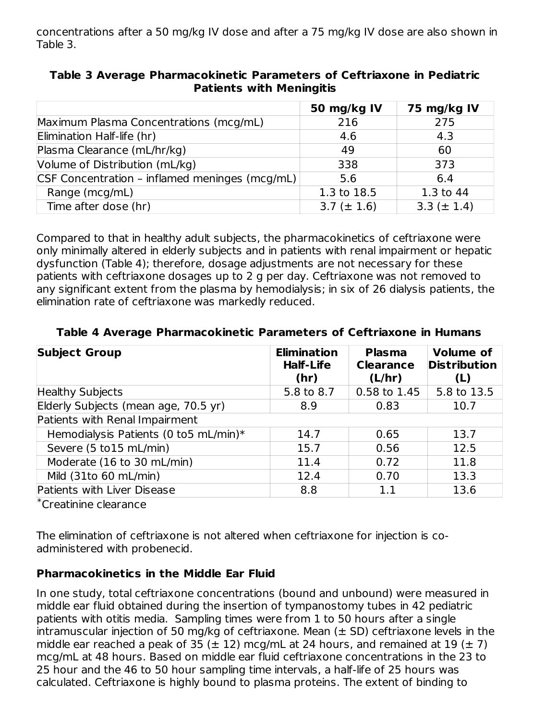concentrations after a 50 mg/kg IV dose and after a 75 mg/kg IV dose are also shown in Table 3.

|                                                | 50 mg/kg IV     | 75 mg/kg IV     |
|------------------------------------------------|-----------------|-----------------|
| Maximum Plasma Concentrations (mcg/mL)         | 216             | 275             |
| Elimination Half-life (hr)                     | 4.6             | 4.3             |
| Plasma Clearance (mL/hr/kg)                    | 49              | 60              |
| Volume of Distribution (mL/kg)                 | 338             | 373             |
| CSF Concentration - inflamed meninges (mcg/mL) | 5.6             | 6.4             |
| Range (mcg/mL)                                 | 1.3 to 18.5     | 1.3 to 44       |
| Time after dose (hr)                           | $3.7 (\pm 1.6)$ | $3.3 (\pm 1.4)$ |

#### **Table 3 Average Pharmacokinetic Parameters of Ceftriaxone in Pediatric Patients with Meningitis**

Compared to that in healthy adult subjects, the pharmacokinetics of ceftriaxone were only minimally altered in elderly subjects and in patients with renal impairment or hepatic dysfunction (Table 4); therefore, dosage adjustments are not necessary for these patients with ceftriaxone dosages up to 2 g per day. Ceftriaxone was not removed to any significant extent from the plasma by hemodialysis; in six of 26 dialysis patients, the elimination rate of ceftriaxone was markedly reduced.

| Table 4 Average Pharmacokinetic Parameters of Ceftriaxone in Humans |
|---------------------------------------------------------------------|
|---------------------------------------------------------------------|

| <b>Subject Group</b>                   | <b>Elimination</b><br><b>Half-Life</b><br>(hr) | <b>Plasma</b><br><b>Clearance</b><br>(L/hr) | <b>Volume of</b><br><b>Distribution</b><br>(L) |
|----------------------------------------|------------------------------------------------|---------------------------------------------|------------------------------------------------|
| <b>Healthy Subjects</b>                | 5.8 to 8.7                                     | 0.58 to 1.45                                | 5.8 to 13.5                                    |
| Elderly Subjects (mean age, 70.5 yr)   | 8.9                                            | 0.83                                        | 10.7                                           |
| Patients with Renal Impairment         |                                                |                                             |                                                |
| Hemodialysis Patients (0 to 5 mL/min)* | 14.7                                           | 0.65                                        | 13.7                                           |
| Severe (5 to 15 mL/min)                | 15.7                                           | 0.56                                        | 12.5                                           |
| Moderate (16 to 30 mL/min)             | 11.4                                           | 0.72                                        | 11.8                                           |
| Mild (31to 60 mL/min)                  | 12.4                                           | 0.70                                        | 13.3                                           |
| Patients with Liver Disease            | 8.8                                            | 1.1                                         | 13.6                                           |

Creatinine clearance \*

The elimination of ceftriaxone is not altered when ceftriaxone for injection is coadministered with probenecid.

#### **Pharmacokinetics in the Middle Ear Fluid**

In one study, total ceftriaxone concentrations (bound and unbound) were measured in middle ear fluid obtained during the insertion of tympanostomy tubes in 42 pediatric patients with otitis media. Sampling times were from 1 to 50 hours after a single intramuscular injection of 50 mg/kg of ceftriaxone. Mean  $(\pm$  SD) ceftriaxone levels in the middle ear reached a peak of 35 ( $\pm$  12) mcg/mL at 24 hours, and remained at 19 ( $\pm$  7) mcg/mL at 48 hours. Based on middle ear fluid ceftriaxone concentrations in the 23 to 25 hour and the 46 to 50 hour sampling time intervals, a half-life of 25 hours was calculated. Ceftriaxone is highly bound to plasma proteins. The extent of binding to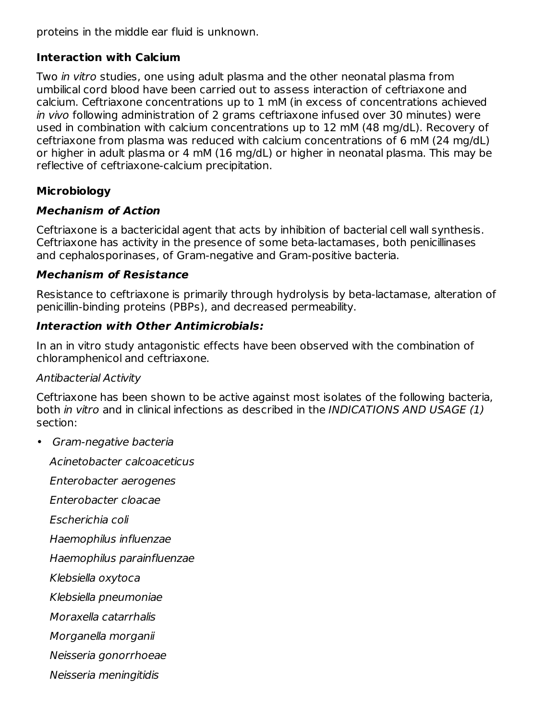proteins in the middle ear fluid is unknown.

### **Interaction with Calcium**

Two *in vitro* studies, one using adult plasma and the other neonatal plasma from umbilical cord blood have been carried out to assess interaction of ceftriaxone and calcium. Ceftriaxone concentrations up to 1 mM (in excess of concentrations achieved in vivo following administration of 2 grams ceftriaxone infused over 30 minutes) were used in combination with calcium concentrations up to 12 mM (48 mg/dL). Recovery of ceftriaxone from plasma was reduced with calcium concentrations of 6 mM (24 mg/dL) or higher in adult plasma or 4 mM (16 mg/dL) or higher in neonatal plasma. This may be reflective of ceftriaxone-calcium precipitation.

## **Microbiology**

### **Mechanism of Action**

Ceftriaxone is a bactericidal agent that acts by inhibition of bacterial cell wall synthesis. Ceftriaxone has activity in the presence of some beta-lactamases, both penicillinases and cephalosporinases, of Gram-negative and Gram-positive bacteria.

### **Mechanism of Resistance**

Resistance to ceftriaxone is primarily through hydrolysis by beta-lactamase, alteration of penicillin-binding proteins (PBPs), and decreased permeability.

## **Interaction with Other Antimicrobials:**

In an in vitro study antagonistic effects have been observed with the combination of chloramphenicol and ceftriaxone.

#### Antibacterial Activity

Ceftriaxone has been shown to be active against most isolates of the following bacteria, both in vitro and in clinical infections as described in the INDICATIONS AND USAGE (1) section:

- Gram-negative bacteria
	- Acinetobacter calcoaceticus Enterobacter aerogenes
	- Enterobacter cloacae
	- Escherichia coli
	- Haemophilus influenzae
	- Haemophilus parainfluenzae
	- Klebsiella oxytoca
	- Klebsiella pneumoniae
	- Moraxella catarrhalis
	- Morganella morganii
	- Neisseria gonorrhoeae
	- Neisseria meningitidis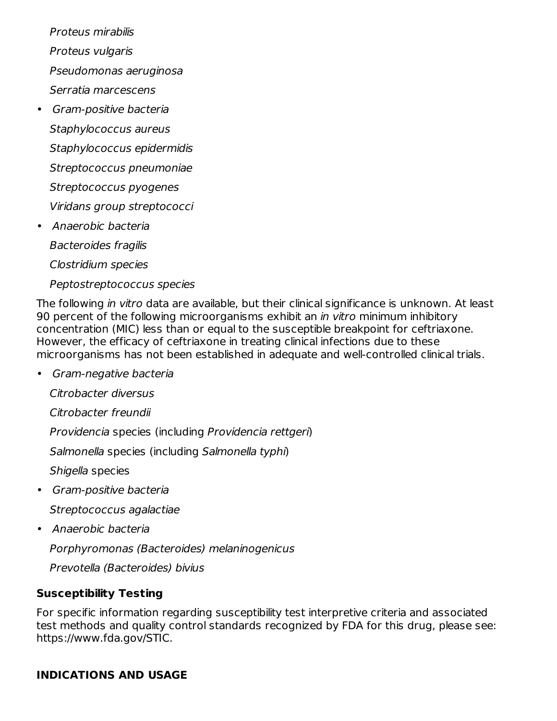Proteus mirabilis

Proteus vulgaris

Pseudomonas aeruginosa

Serratia marcescens

- Gram-positive bacteria Staphylococcus aureus Staphylococcus epidermidis Streptococcus pneumoniae Streptococcus pyogenes Viridans group streptococci
- Anaerobic bacteria Bacteroides fragilis Clostridium species Peptostreptococcus species

The following in vitro data are available, but their clinical significance is unknown. At least 90 percent of the following microorganisms exhibit an *in vitro* minimum inhibitory concentration (MIC) less than or equal to the susceptible breakpoint for ceftriaxone. However, the efficacy of ceftriaxone in treating clinical infections due to these microorganisms has not been established in adequate and well-controlled clinical trials.

• Gram-negative bacteria

Citrobacter diversus

Citrobacter freundii

Providencia species (including Providencia rettgeri)

Salmonella species (including Salmonella typhi)

Shigella species

• Gram-positive bacteria

Streptococcus agalactiae

• Anaerobic bacteria

Porphyromonas (Bacteroides) melaninogenicus

Prevotella (Bacteroides) bivius

# **Susceptibility Testing**

For specific information regarding susceptibility test interpretive criteria and associated test methods and quality control standards recognized by FDA for this drug, please see: https://www.fda.gov/STIC.

# **INDICATIONS AND USAGE**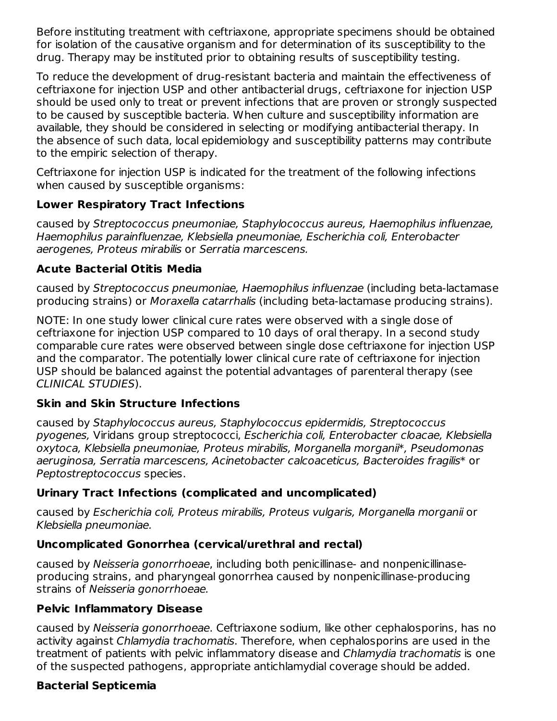Before instituting treatment with ceftriaxone, appropriate specimens should be obtained for isolation of the causative organism and for determination of its susceptibility to the drug. Therapy may be instituted prior to obtaining results of susceptibility testing.

To reduce the development of drug-resistant bacteria and maintain the effectiveness of ceftriaxone for injection USP and other antibacterial drugs, ceftriaxone for injection USP should be used only to treat or prevent infections that are proven or strongly suspected to be caused by susceptible bacteria. When culture and susceptibility information are available, they should be considered in selecting or modifying antibacterial therapy. In the absence of such data, local epidemiology and susceptibility patterns may contribute to the empiric selection of therapy.

Ceftriaxone for injection USP is indicated for the treatment of the following infections when caused by susceptible organisms:

## **Lower Respiratory Tract Infections**

caused by Streptococcus pneumoniae, Staphylococcus aureus, Haemophilus influenzae, Haemophilus parainfluenzae, Klebsiella pneumoniae, Escherichia coli, Enterobacter aerogenes, Proteus mirabilis or Serratia marcescens.

## **Acute Bacterial Otitis Media**

caused by Streptococcus pneumoniae, Haemophilus influenzae (including beta-lactamase producing strains) or Moraxella catarrhalis (including beta-lactamase producing strains).

NOTE: In one study lower clinical cure rates were observed with a single dose of ceftriaxone for injection USP compared to 10 days of oral therapy. In a second study comparable cure rates were observed between single dose ceftriaxone for injection USP and the comparator. The potentially lower clinical cure rate of ceftriaxone for injection USP should be balanced against the potential advantages of parenteral therapy (see CLINICAL STUDIES).

# **Skin and Skin Structure Infections**

caused by Staphylococcus aureus, Staphylococcus epidermidis, Streptococcus pyogenes, Viridans group streptococci, Escherichia coli, Enterobacter cloacae, Klebsiella oxytoca, Klebsiella pneumoniae, Proteus mirabilis, Morganella morganii\*, Pseudomonas aeruginosa, Serratia marcescens, Acinetobacter calcoaceticus, Bacteroides fragilis\* or Peptostreptococcus species.

# **Urinary Tract Infections (complicated and uncomplicated)**

caused by Escherichia coli, Proteus mirabilis, Proteus vulgaris, Morganella morganii or Klebsiella pneumoniae.

# **Uncomplicated Gonorrhea (cervical/urethral and rectal)**

caused by Neisseria gonorrhoeae, including both penicillinase- and nonpenicillinaseproducing strains, and pharyngeal gonorrhea caused by nonpenicillinase-producing strains of Neisseria gonorrhoeae.

## **Pelvic Inflammatory Disease**

caused by Neisseria gonorrhoeae. Ceftriaxone sodium, like other cephalosporins, has no activity against Chlamydia trachomatis. Therefore, when cephalosporins are used in the treatment of patients with pelvic inflammatory disease and Chlamydia trachomatis is one of the suspected pathogens, appropriate antichlamydial coverage should be added.

## **Bacterial Septicemia**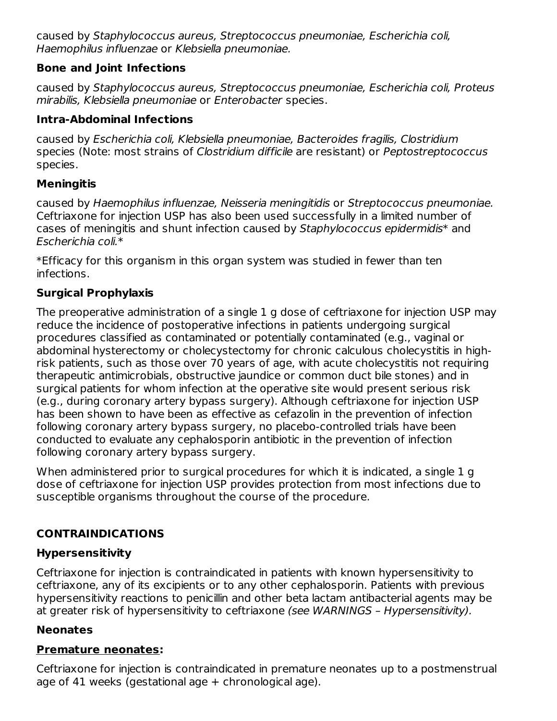caused by Staphylococcus aureus, Streptococcus pneumoniae, Escherichia coli, Haemophilus influenzae or Klebsiella pneumoniae.

## **Bone and Joint Infections**

caused by Staphylococcus aureus, Streptococcus pneumoniae, Escherichia coli, Proteus mirabilis, Klebsiella pneumoniae or Enterobacter species.

## **Intra-Abdominal Infections**

caused by Escherichia coli, Klebsiella pneumoniae, Bacteroides fragilis, Clostridium species (Note: most strains of Clostridium difficile are resistant) or Peptostreptococcus species.

## **Meningitis**

caused by Haemophilus influenzae, Neisseria meningitidis or Streptococcus pneumoniae. Ceftriaxone for injection USP has also been used successfully in a limited number of cases of meningitis and shunt infection caused by Staphylococcus epidermidis\* and Escherichia coli.\*

\*Efficacy for this organism in this organ system was studied in fewer than ten infections.

## **Surgical Prophylaxis**

The preoperative administration of a single 1 g dose of ceftriaxone for injection USP may reduce the incidence of postoperative infections in patients undergoing surgical procedures classified as contaminated or potentially contaminated (e.g., vaginal or abdominal hysterectomy or cholecystectomy for chronic calculous cholecystitis in highrisk patients, such as those over 70 years of age, with acute cholecystitis not requiring therapeutic antimicrobials, obstructive jaundice or common duct bile stones) and in surgical patients for whom infection at the operative site would present serious risk (e.g., during coronary artery bypass surgery). Although ceftriaxone for injection USP has been shown to have been as effective as cefazolin in the prevention of infection following coronary artery bypass surgery, no placebo-controlled trials have been conducted to evaluate any cephalosporin antibiotic in the prevention of infection following coronary artery bypass surgery.

When administered prior to surgical procedures for which it is indicated, a single 1 g dose of ceftriaxone for injection USP provides protection from most infections due to susceptible organisms throughout the course of the procedure.

# **CONTRAINDICATIONS**

## **Hypersensitivity**

Ceftriaxone for injection is contraindicated in patients with known hypersensitivity to ceftriaxone, any of its excipients or to any other cephalosporin. Patients with previous hypersensitivity reactions to penicillin and other beta lactam antibacterial agents may be at greater risk of hypersensitivity to ceftriaxone (see WARNINGS - Hypersensitivity).

## **Neonates**

## **Premature neonates:**

Ceftriaxone for injection is contraindicated in premature neonates up to a postmenstrual age of 41 weeks (gestational age + chronological age).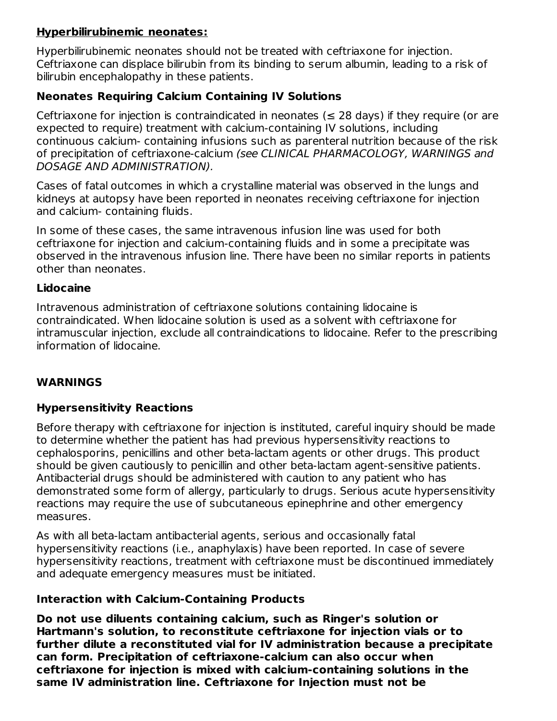## **Hyperbilirubinemic neonates:**

Hyperbilirubinemic neonates should not be treated with ceftriaxone for injection. Ceftriaxone can displace bilirubin from its binding to serum albumin, leading to a risk of bilirubin encephalopathy in these patients.

## **Neonates Requiring Calcium Containing IV Solutions**

Ceftriaxone for injection is contraindicated in neonates ( $\leq$  28 days) if they require (or are expected to require) treatment with calcium-containing IV solutions, including continuous calcium- containing infusions such as parenteral nutrition because of the risk of precipitation of ceftriaxone-calcium (see CLINICAL PHARMACOLOGY, WARNINGS and DOSAGE AND ADMINISTRATION).

Cases of fatal outcomes in which a crystalline material was observed in the lungs and kidneys at autopsy have been reported in neonates receiving ceftriaxone for injection and calcium- containing fluids.

In some of these cases, the same intravenous infusion line was used for both ceftriaxone for injection and calcium-containing fluids and in some a precipitate was observed in the intravenous infusion line. There have been no similar reports in patients other than neonates.

## **Lidocaine**

Intravenous administration of ceftriaxone solutions containing lidocaine is contraindicated. When lidocaine solution is used as a solvent with ceftriaxone for intramuscular injection, exclude all contraindications to lidocaine. Refer to the prescribing information of lidocaine.

# **WARNINGS**

## **Hypersensitivity Reactions**

Before therapy with ceftriaxone for injection is instituted, careful inquiry should be made to determine whether the patient has had previous hypersensitivity reactions to cephalosporins, penicillins and other beta-lactam agents or other drugs. This product should be given cautiously to penicillin and other beta-lactam agent-sensitive patients. Antibacterial drugs should be administered with caution to any patient who has demonstrated some form of allergy, particularly to drugs. Serious acute hypersensitivity reactions may require the use of subcutaneous epinephrine and other emergency measures.

As with all beta-lactam antibacterial agents, serious and occasionally fatal hypersensitivity reactions (i.e., anaphylaxis) have been reported. In case of severe hypersensitivity reactions, treatment with ceftriaxone must be discontinued immediately and adequate emergency measures must be initiated.

## **Interaction with Calcium-Containing Products**

**Do not use diluents containing calcium, such as Ringer's solution or Hartmann's solution, to reconstitute ceftriaxone for injection vials or to further dilute a reconstituted vial for IV administration because a precipitate can form. Precipitation of ceftriaxone-calcium can also occur when ceftriaxone for injection is mixed with calcium-containing solutions in the same IV administration line. Ceftriaxone for Injection must not be**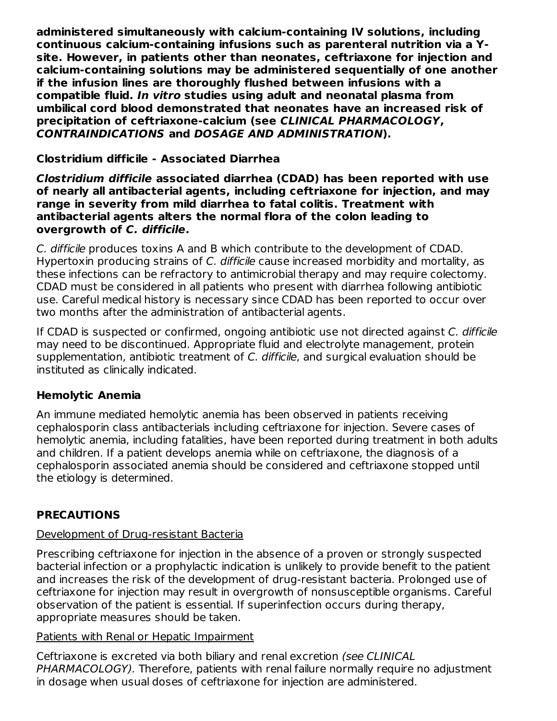**administered simultaneously with calcium-containing IV solutions, including continuous calcium-containing infusions such as parenteral nutrition via a Ysite. However, in patients other than neonates, ceftriaxone for injection and calcium-containing solutions may be administered sequentially of one another if the infusion lines are thoroughly flushed between infusions with a compatible fluid. In vitro studies using adult and neonatal plasma from umbilical cord blood demonstrated that neonates have an increased risk of precipitation of ceftriaxone-calcium (see CLINICAL PHARMACOLOGY, CONTRAINDICATIONS and DOSAGE AND ADMINISTRATION).**

## **Clostridium difficile - Associated Diarrhea**

**Clostridium difficile associated diarrhea (CDAD) has been reported with use of nearly all antibacterial agents, including ceftriaxone for injection, and may range in severity from mild diarrhea to fatal colitis. Treatment with antibacterial agents alters the normal flora of the colon leading to overgrowth of C. difficile.**

C. difficile produces toxins A and B which contribute to the development of CDAD. Hypertoxin producing strains of C. difficile cause increased morbidity and mortality, as these infections can be refractory to antimicrobial therapy and may require colectomy. CDAD must be considered in all patients who present with diarrhea following antibiotic use. Careful medical history is necessary since CDAD has been reported to occur over two months after the administration of antibacterial agents.

If CDAD is suspected or confirmed, ongoing antibiotic use not directed against C. difficile may need to be discontinued. Appropriate fluid and electrolyte management, protein supplementation, antibiotic treatment of C. difficile, and surgical evaluation should be instituted as clinically indicated.

#### **Hemolytic Anemia**

An immune mediated hemolytic anemia has been observed in patients receiving cephalosporin class antibacterials including ceftriaxone for injection. Severe cases of hemolytic anemia, including fatalities, have been reported during treatment in both adults and children. If a patient develops anemia while on ceftriaxone, the diagnosis of a cephalosporin associated anemia should be considered and ceftriaxone stopped until the etiology is determined.

## **PRECAUTIONS**

#### Development of Drug-resistant Bacteria

Prescribing ceftriaxone for injection in the absence of a proven or strongly suspected bacterial infection or a prophylactic indication is unlikely to provide benefit to the patient and increases the risk of the development of drug-resistant bacteria. Prolonged use of ceftriaxone for injection may result in overgrowth of nonsusceptible organisms. Careful observation of the patient is essential. If superinfection occurs during therapy, appropriate measures should be taken.

#### Patients with Renal or Hepatic Impairment

Ceftriaxone is excreted via both biliary and renal excretion (see CLINICAL PHARMACOLOGY). Therefore, patients with renal failure normally require no adjustment in dosage when usual doses of ceftriaxone for injection are administered.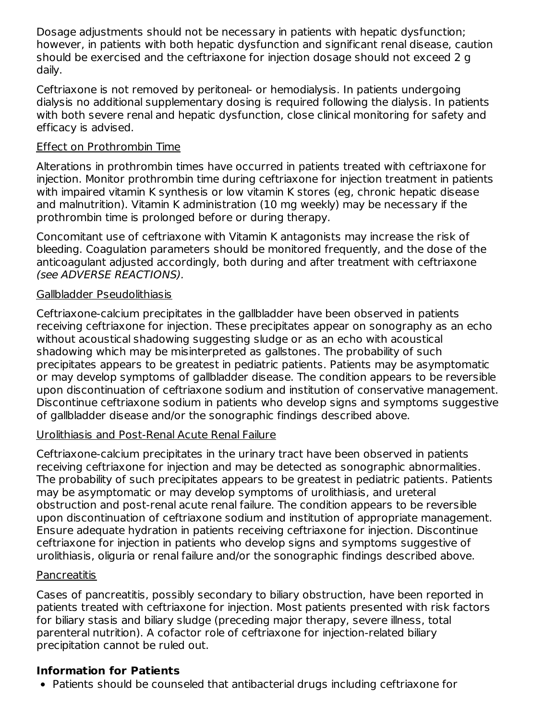Dosage adjustments should not be necessary in patients with hepatic dysfunction; however, in patients with both hepatic dysfunction and significant renal disease, caution should be exercised and the ceftriaxone for injection dosage should not exceed 2 g daily.

Ceftriaxone is not removed by peritoneal- or hemodialysis. In patients undergoing dialysis no additional supplementary dosing is required following the dialysis. In patients with both severe renal and hepatic dysfunction, close clinical monitoring for safety and efficacy is advised.

## Effect on Prothrombin Time

Alterations in prothrombin times have occurred in patients treated with ceftriaxone for injection. Monitor prothrombin time during ceftriaxone for injection treatment in patients with impaired vitamin K synthesis or low vitamin K stores (eg, chronic hepatic disease and malnutrition). Vitamin K administration (10 mg weekly) may be necessary if the prothrombin time is prolonged before or during therapy.

Concomitant use of ceftriaxone with Vitamin K antagonists may increase the risk of bleeding. Coagulation parameters should be monitored frequently, and the dose of the anticoagulant adjusted accordingly, both during and after treatment with ceftriaxone (see ADVERSE REACTIONS).

## Gallbladder Pseudolithiasis

Ceftriaxone-calcium precipitates in the gallbladder have been observed in patients receiving ceftriaxone for injection. These precipitates appear on sonography as an echo without acoustical shadowing suggesting sludge or as an echo with acoustical shadowing which may be misinterpreted as gallstones. The probability of such precipitates appears to be greatest in pediatric patients. Patients may be asymptomatic or may develop symptoms of gallbladder disease. The condition appears to be reversible upon discontinuation of ceftriaxone sodium and institution of conservative management. Discontinue ceftriaxone sodium in patients who develop signs and symptoms suggestive of gallbladder disease and/or the sonographic findings described above.

## Urolithiasis and Post-Renal Acute Renal Failure

Ceftriaxone-calcium precipitates in the urinary tract have been observed in patients receiving ceftriaxone for injection and may be detected as sonographic abnormalities. The probability of such precipitates appears to be greatest in pediatric patients. Patients may be asymptomatic or may develop symptoms of urolithiasis, and ureteral obstruction and post-renal acute renal failure. The condition appears to be reversible upon discontinuation of ceftriaxone sodium and institution of appropriate management. Ensure adequate hydration in patients receiving ceftriaxone for injection. Discontinue ceftriaxone for injection in patients who develop signs and symptoms suggestive of urolithiasis, oliguria or renal failure and/or the sonographic findings described above.

## **Pancreatitis**

Cases of pancreatitis, possibly secondary to biliary obstruction, have been reported in patients treated with ceftriaxone for injection. Most patients presented with risk factors for biliary stasis and biliary sludge (preceding major therapy, severe illness, total parenteral nutrition). A cofactor role of ceftriaxone for injection-related biliary precipitation cannot be ruled out.

# **Information for Patients**

Patients should be counseled that antibacterial drugs including ceftriaxone for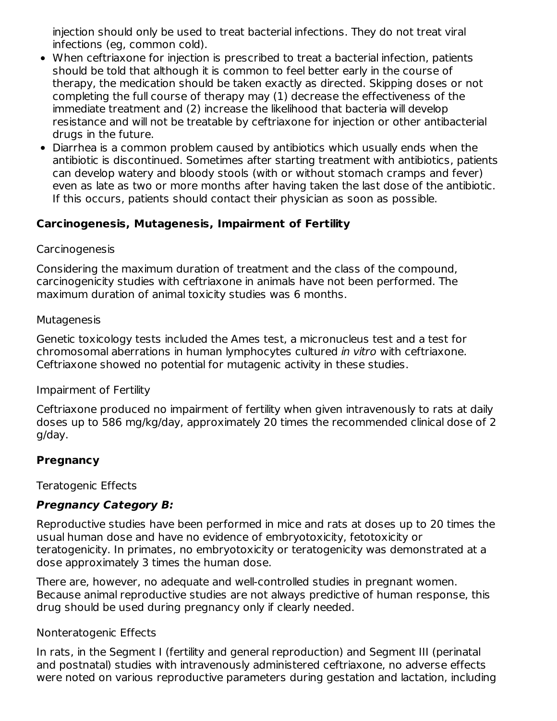injection should only be used to treat bacterial infections. They do not treat viral infections (eg, common cold).

- When ceftriaxone for injection is prescribed to treat a bacterial infection, patients should be told that although it is common to feel better early in the course of therapy, the medication should be taken exactly as directed. Skipping doses or not completing the full course of therapy may (1) decrease the effectiveness of the immediate treatment and (2) increase the likelihood that bacteria will develop resistance and will not be treatable by ceftriaxone for injection or other antibacterial drugs in the future.
- Diarrhea is a common problem caused by antibiotics which usually ends when the antibiotic is discontinued. Sometimes after starting treatment with antibiotics, patients can develop watery and bloody stools (with or without stomach cramps and fever) even as late as two or more months after having taken the last dose of the antibiotic. If this occurs, patients should contact their physician as soon as possible.

### **Carcinogenesis, Mutagenesis, Impairment of Fertility**

#### Carcinogenesis

Considering the maximum duration of treatment and the class of the compound, carcinogenicity studies with ceftriaxone in animals have not been performed. The maximum duration of animal toxicity studies was 6 months.

#### Mutagenesis

Genetic toxicology tests included the Ames test, a micronucleus test and a test for chromosomal aberrations in human lymphocytes cultured in vitro with ceftriaxone. Ceftriaxone showed no potential for mutagenic activity in these studies.

#### Impairment of Fertility

Ceftriaxone produced no impairment of fertility when given intravenously to rats at daily doses up to 586 mg/kg/day, approximately 20 times the recommended clinical dose of 2 g/day.

#### **Pregnancy**

Teratogenic Effects

#### **Pregnancy Category B:**

Reproductive studies have been performed in mice and rats at doses up to 20 times the usual human dose and have no evidence of embryotoxicity, fetotoxicity or teratogenicity. In primates, no embryotoxicity or teratogenicity was demonstrated at a dose approximately 3 times the human dose.

There are, however, no adequate and well-controlled studies in pregnant women. Because animal reproductive studies are not always predictive of human response, this drug should be used during pregnancy only if clearly needed.

#### Nonteratogenic Effects

In rats, in the Segment I (fertility and general reproduction) and Segment III (perinatal and postnatal) studies with intravenously administered ceftriaxone, no adverse effects were noted on various reproductive parameters during gestation and lactation, including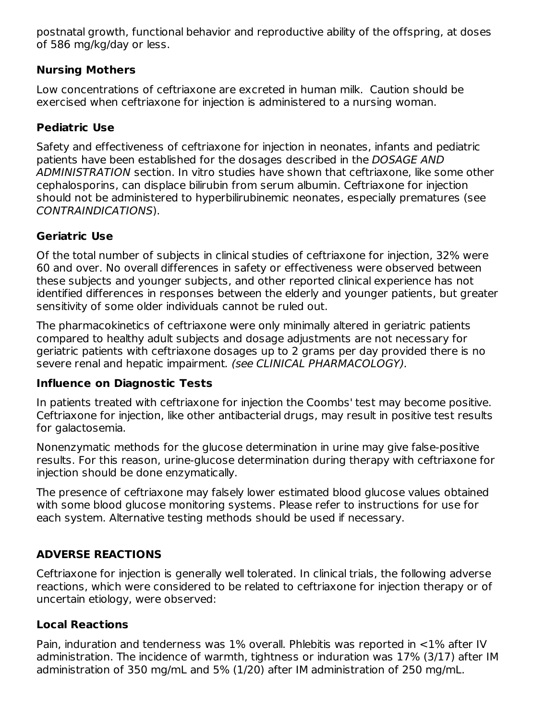postnatal growth, functional behavior and reproductive ability of the offspring, at doses of 586 mg/kg/day or less.

## **Nursing Mothers**

Low concentrations of ceftriaxone are excreted in human milk. Caution should be exercised when ceftriaxone for injection is administered to a nursing woman.

## **Pediatric Use**

Safety and effectiveness of ceftriaxone for injection in neonates, infants and pediatric patients have been established for the dosages described in the DOSAGE AND ADMINISTRATION section. In vitro studies have shown that ceftriaxone, like some other cephalosporins, can displace bilirubin from serum albumin. Ceftriaxone for injection should not be administered to hyperbilirubinemic neonates, especially prematures (see CONTRAINDICATIONS).

### **Geriatric Use**

Of the total number of subjects in clinical studies of ceftriaxone for injection, 32% were 60 and over. No overall differences in safety or effectiveness were observed between these subjects and younger subjects, and other reported clinical experience has not identified differences in responses between the elderly and younger patients, but greater sensitivity of some older individuals cannot be ruled out.

The pharmacokinetics of ceftriaxone were only minimally altered in geriatric patients compared to healthy adult subjects and dosage adjustments are not necessary for geriatric patients with ceftriaxone dosages up to 2 grams per day provided there is no severe renal and hepatic impairment. (see CLINICAL PHARMACOLOGY).

#### **Influence on Diagnostic Tests**

In patients treated with ceftriaxone for injection the Coombs' test may become positive. Ceftriaxone for injection, like other antibacterial drugs, may result in positive test results for galactosemia.

Nonenzymatic methods for the glucose determination in urine may give false-positive results. For this reason, urine-glucose determination during therapy with ceftriaxone for injection should be done enzymatically.

The presence of ceftriaxone may falsely lower estimated blood glucose values obtained with some blood glucose monitoring systems. Please refer to instructions for use for each system. Alternative testing methods should be used if necessary.

# **ADVERSE REACTIONS**

Ceftriaxone for injection is generally well tolerated. In clinical trials, the following adverse reactions, which were considered to be related to ceftriaxone for injection therapy or of uncertain etiology, were observed:

## **Local Reactions**

Pain, induration and tenderness was 1% overall. Phlebitis was reported in <1% after IV administration. The incidence of warmth, tightness or induration was 17% (3/17) after IM administration of 350 mg/mL and 5% (1/20) after IM administration of 250 mg/mL.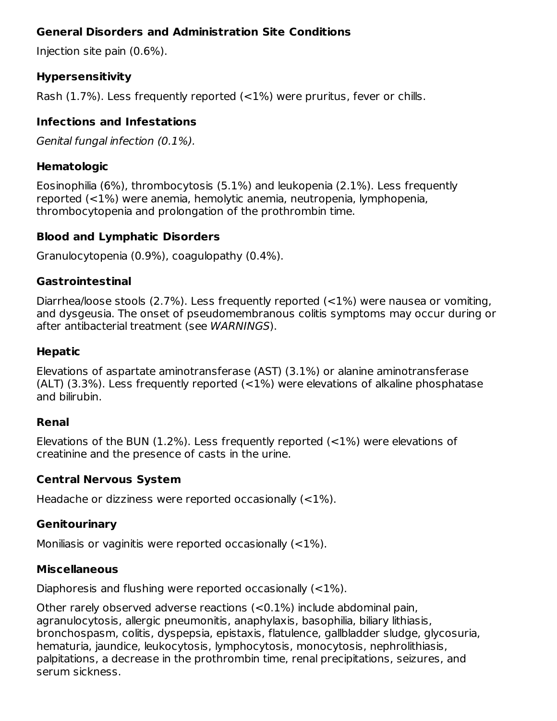## **General Disorders and Administration Site Conditions**

Injection site pain (0.6%).

## **Hypersensitivity**

Rash (1.7%). Less frequently reported (<1%) were pruritus, fever or chills.

# **Infections and Infestations**

Genital fungal infection (0.1%).

## **Hematologic**

Eosinophilia (6%), thrombocytosis (5.1%) and leukopenia (2.1%). Less frequently reported (<1%) were anemia, hemolytic anemia, neutropenia, lymphopenia, thrombocytopenia and prolongation of the prothrombin time.

# **Blood and Lymphatic Disorders**

Granulocytopenia (0.9%), coagulopathy (0.4%).

## **Gastrointestinal**

Diarrhea/loose stools (2.7%). Less frequently reported (<1%) were nausea or vomiting, and dysgeusia. The onset of pseudomembranous colitis symptoms may occur during or after antibacterial treatment (see WARNINGS).

## **Hepatic**

Elevations of aspartate aminotransferase (AST) (3.1%) or alanine aminotransferase (ALT) (3.3%). Less frequently reported (<1%) were elevations of alkaline phosphatase and bilirubin.

## **Renal**

Elevations of the BUN (1.2%). Less frequently reported (<1%) were elevations of creatinine and the presence of casts in the urine.

# **Central Nervous System**

Headache or dizziness were reported occasionally (<1%).

# **Genitourinary**

Moniliasis or vaginitis were reported occasionally (<1%).

## **Miscellaneous**

Diaphoresis and flushing were reported occasionally (<1%).

Other rarely observed adverse reactions (<0.1%) include abdominal pain, agranulocytosis, allergic pneumonitis, anaphylaxis, basophilia, biliary lithiasis, bronchospasm, colitis, dyspepsia, epistaxis, flatulence, gallbladder sludge, glycosuria, hematuria, jaundice, leukocytosis, lymphocytosis, monocytosis, nephrolithiasis, palpitations, a decrease in the prothrombin time, renal precipitations, seizures, and serum sickness.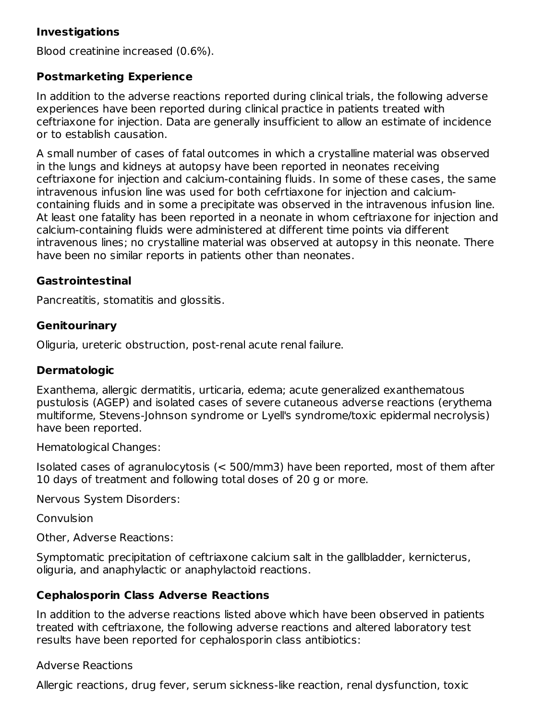## **Investigations**

Blood creatinine increased (0.6%).

#### **Postmarketing Experience**

In addition to the adverse reactions reported during clinical trials, the following adverse experiences have been reported during clinical practice in patients treated with ceftriaxone for injection. Data are generally insufficient to allow an estimate of incidence or to establish causation.

A small number of cases of fatal outcomes in which a crystalline material was observed in the lungs and kidneys at autopsy have been reported in neonates receiving ceftriaxone for injection and calcium-containing fluids. In some of these cases, the same intravenous infusion line was used for both cefrtiaxone for injection and calciumcontaining fluids and in some a precipitate was observed in the intravenous infusion line. At least one fatality has been reported in a neonate in whom ceftriaxone for injection and calcium-containing fluids were administered at different time points via different intravenous lines; no crystalline material was observed at autopsy in this neonate. There have been no similar reports in patients other than neonates.

#### **Gastrointestinal**

Pancreatitis, stomatitis and glossitis.

#### **Genitourinary**

Oliguria, ureteric obstruction, post-renal acute renal failure.

#### **Dermatologic**

Exanthema, allergic dermatitis, urticaria, edema; acute generalized exanthematous pustulosis (AGEP) and isolated cases of severe cutaneous adverse reactions (erythema multiforme, Stevens-Johnson syndrome or Lyell's syndrome/toxic epidermal necrolysis) have been reported.

Hematological Changes:

Isolated cases of agranulocytosis (< 500/mm3) have been reported, most of them after 10 days of treatment and following total doses of 20 g or more.

Nervous System Disorders:

Convulsion

Other, Adverse Reactions:

Symptomatic precipitation of ceftriaxone calcium salt in the gallbladder, kernicterus, oliguria, and anaphylactic or anaphylactoid reactions.

#### **Cephalosporin Class Adverse Reactions**

In addition to the adverse reactions listed above which have been observed in patients treated with ceftriaxone, the following adverse reactions and altered laboratory test results have been reported for cephalosporin class antibiotics:

Adverse Reactions

Allergic reactions, drug fever, serum sickness-like reaction, renal dysfunction, toxic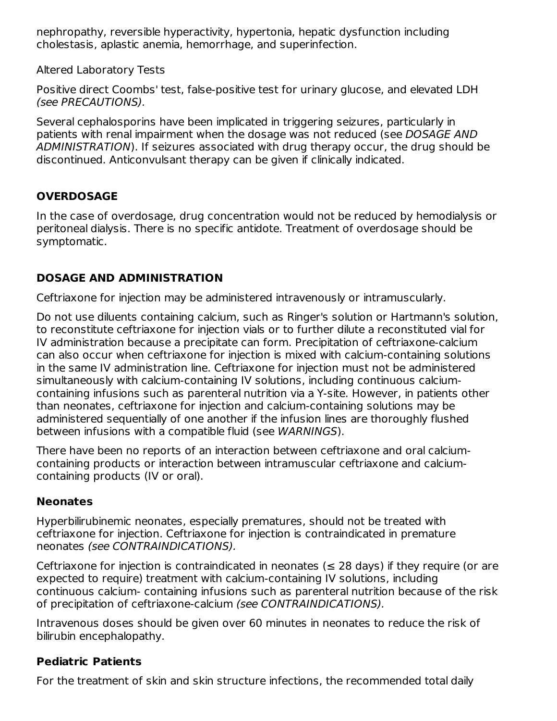nephropathy, reversible hyperactivity, hypertonia, hepatic dysfunction including cholestasis, aplastic anemia, hemorrhage, and superinfection.

Altered Laboratory Tests

Positive direct Coombs' test, false-positive test for urinary glucose, and elevated LDH (see PRECAUTIONS).

Several cephalosporins have been implicated in triggering seizures, particularly in patients with renal impairment when the dosage was not reduced (see DOSAGE AND ADMINISTRATION). If seizures associated with drug therapy occur, the drug should be discontinued. Anticonvulsant therapy can be given if clinically indicated.

# **OVERDOSAGE**

In the case of overdosage, drug concentration would not be reduced by hemodialysis or peritoneal dialysis. There is no specific antidote. Treatment of overdosage should be symptomatic.

## **DOSAGE AND ADMINISTRATION**

Ceftriaxone for injection may be administered intravenously or intramuscularly.

Do not use diluents containing calcium, such as Ringer's solution or Hartmann's solution, to reconstitute ceftriaxone for injection vials or to further dilute a reconstituted vial for IV administration because a precipitate can form. Precipitation of ceftriaxone-calcium can also occur when ceftriaxone for injection is mixed with calcium-containing solutions in the same IV administration line. Ceftriaxone for injection must not be administered simultaneously with calcium-containing IV solutions, including continuous calciumcontaining infusions such as parenteral nutrition via a Y-site. However, in patients other than neonates, ceftriaxone for injection and calcium-containing solutions may be administered sequentially of one another if the infusion lines are thoroughly flushed between infusions with a compatible fluid (see WARNINGS).

There have been no reports of an interaction between ceftriaxone and oral calciumcontaining products or interaction between intramuscular ceftriaxone and calciumcontaining products (IV or oral).

## **Neonates**

Hyperbilirubinemic neonates, especially prematures, should not be treated with ceftriaxone for injection. Ceftriaxone for injection is contraindicated in premature neonates (see CONTRAINDICATIONS).

Ceftriaxone for injection is contraindicated in neonates ( $\leq$  28 days) if they require (or are expected to require) treatment with calcium-containing IV solutions, including continuous calcium- containing infusions such as parenteral nutrition because of the risk of precipitation of ceftriaxone-calcium (see CONTRAINDICATIONS).

Intravenous doses should be given over 60 minutes in neonates to reduce the risk of bilirubin encephalopathy.

## **Pediatric Patients**

For the treatment of skin and skin structure infections, the recommended total daily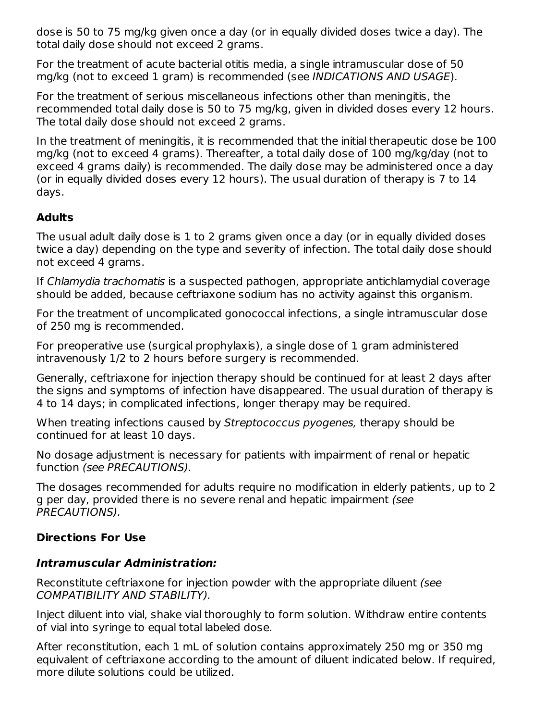dose is 50 to 75 mg/kg given once a day (or in equally divided doses twice a day). The total daily dose should not exceed 2 grams.

For the treatment of acute bacterial otitis media, a single intramuscular dose of 50 mg/kg (not to exceed 1 gram) is recommended (see INDICATIONS AND USAGE).

For the treatment of serious miscellaneous infections other than meningitis, the recommended total daily dose is 50 to 75 mg/kg, given in divided doses every 12 hours. The total daily dose should not exceed 2 grams.

In the treatment of meningitis, it is recommended that the initial therapeutic dose be 100 mg/kg (not to exceed 4 grams). Thereafter, a total daily dose of 100 mg/kg/day (not to exceed 4 grams daily) is recommended. The daily dose may be administered once a day (or in equally divided doses every 12 hours). The usual duration of therapy is 7 to 14 days.

## **Adults**

The usual adult daily dose is 1 to 2 grams given once a day (or in equally divided doses twice a day) depending on the type and severity of infection. The total daily dose should not exceed 4 grams.

If Chlamydia trachomatis is a suspected pathogen, appropriate antichlamydial coverage should be added, because ceftriaxone sodium has no activity against this organism.

For the treatment of uncomplicated gonococcal infections, a single intramuscular dose of 250 mg is recommended.

For preoperative use (surgical prophylaxis), a single dose of 1 gram administered intravenously 1/2 to 2 hours before surgery is recommended.

Generally, ceftriaxone for injection therapy should be continued for at least 2 days after the signs and symptoms of infection have disappeared. The usual duration of therapy is 4 to 14 days; in complicated infections, longer therapy may be required.

When treating infections caused by *Streptococcus pyogenes*, therapy should be continued for at least 10 days.

No dosage adjustment is necessary for patients with impairment of renal or hepatic function (see PRECAUTIONS).

The dosages recommended for adults require no modification in elderly patients, up to 2 g per day, provided there is no severe renal and hepatic impairment (see PRECAUTIONS).

## **Directions For Use**

## **Intramuscular Administration:**

Reconstitute ceftriaxone for injection powder with the appropriate diluent (see COMPATIBILITY AND STABILITY).

Inject diluent into vial, shake vial thoroughly to form solution. Withdraw entire contents of vial into syringe to equal total labeled dose.

After reconstitution, each 1 mL of solution contains approximately 250 mg or 350 mg equivalent of ceftriaxone according to the amount of diluent indicated below. If required, more dilute solutions could be utilized.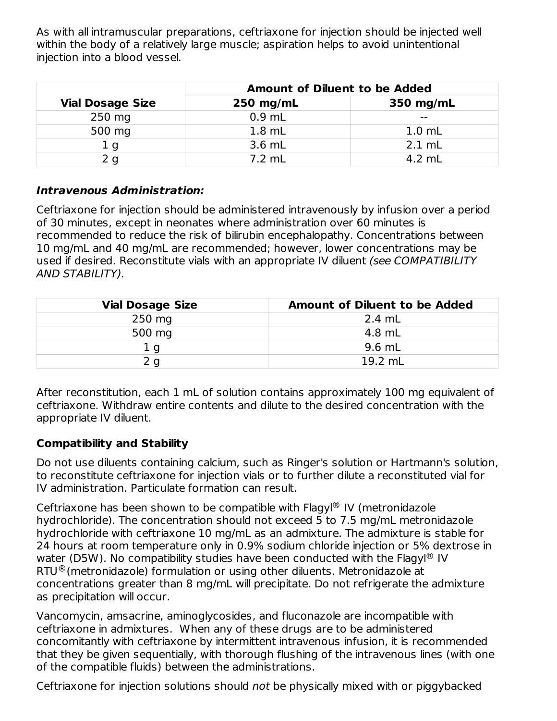As with all intramuscular preparations, ceftriaxone for injection should be injected well within the body of a relatively large muscle; aspiration helps to avoid unintentional injection into a blood vessel.

|                         | <b>Amount of Diluent to be Added</b> |                   |  |  |
|-------------------------|--------------------------------------|-------------------|--|--|
| <b>Vial Dosage Size</b> | $250$ mg/mL                          | 350 mg/mL         |  |  |
| $250$ mg                | $0.9$ mL                             | $- -$             |  |  |
| 500 mg                  | $1.8$ mL                             | 1.0 <sub>mL</sub> |  |  |
| 1 g                     | $3.6$ mL                             | $2.1 \text{ mL}$  |  |  |
| 2 g                     | $7.2 \text{ mL}$                     | $4.2$ mL          |  |  |

### **Intravenous Administration:**

Ceftriaxone for injection should be administered intravenously by infusion over a period of 30 minutes, except in neonates where administration over 60 minutes is recommended to reduce the risk of bilirubin encephalopathy. Concentrations between 10 mg/mL and 40 mg/mL are recommended; however, lower concentrations may be used if desired. Reconstitute vials with an appropriate IV diluent (see COMPATIBILITY AND STABILITY).

| <b>Vial Dosage Size</b> | <b>Amount of Diluent to be Added</b> |
|-------------------------|--------------------------------------|
| 250 mg                  | $2.4 \text{ mL}$                     |
| 500 mg                  | 4.8 mL                               |
| 1 q                     | $9.6$ mL                             |
| 2 g                     | 19.2 mL                              |

After reconstitution, each 1 mL of solution contains approximately 100 mg equivalent of ceftriaxone. Withdraw entire contents and dilute to the desired concentration with the appropriate IV diluent.

#### **Compatibility and Stability**

Do not use diluents containing calcium, such as Ringer's solution or Hartmann's solution, to reconstitute ceftriaxone for injection vials or to further dilute a reconstituted vial for IV administration. Particulate formation can result.

Ceftriaxone has been shown to be compatible with Flagyl® IV (metronidazole hydrochloride). The concentration should not exceed 5 to 7.5 mg/mL metronidazole hydrochloride with ceftriaxone 10 mg/mL as an admixture. The admixture is stable for 24 hours at room temperature only in 0.9% sodium chloride injection or 5% dextrose in water (D5W). No compatibility studies have been conducted with the Flagyl® IV  $RTU^@$  (metronidazole) formulation or using other diluents. Metronidazole at concentrations greater than 8 mg/mL will precipitate. Do not refrigerate the admixture as precipitation will occur.

Vancomycin, amsacrine, aminoglycosides, and fluconazole are incompatible with ceftriaxone in admixtures. When any of these drugs are to be administered concomitantly with ceftriaxone by intermittent intravenous infusion, it is recommended that they be given sequentially, with thorough flushing of the intravenous lines (with one of the compatible fluids) between the administrations.

Ceftriaxone for injection solutions should not be physically mixed with or piggybacked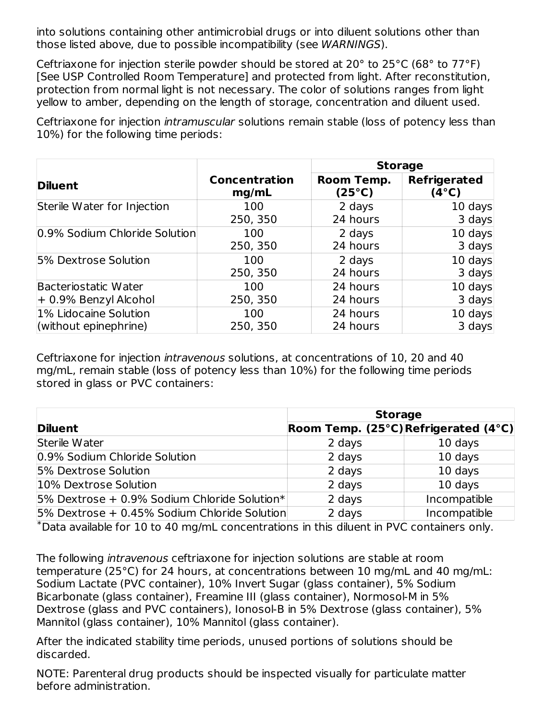into solutions containing other antimicrobial drugs or into diluent solutions other than those listed above, due to possible incompatibility (see WARNINGS).

Ceftriaxone for injection sterile powder should be stored at 20° to 25°C (68° to 77°F) [See USP Controlled Room Temperature] and protected from light. After reconstitution, protection from normal light is not necessary. The color of solutions ranges from light yellow to amber, depending on the length of storage, concentration and diluent used.

Ceftriaxone for injection intramuscular solutions remain stable (loss of potency less than 10%) for the following time periods:

|                               |                               |                               | <b>Storage</b>                        |
|-------------------------------|-------------------------------|-------------------------------|---------------------------------------|
| <b>Diluent</b>                | <b>Concentration</b><br>mg/mL | Room Temp.<br>$(25^{\circ}C)$ | <b>Refrigerated</b><br>$(4^{\circ}C)$ |
| Sterile Water for Injection   | 100                           | 2 days                        | $10$ days                             |
|                               | 250, 350                      | 24 hours                      | 3 days                                |
| 0.9% Sodium Chloride Solution | 100                           | 2 days                        | $10$ days                             |
|                               | 250, 350                      | 24 hours                      | 3 days                                |
| 5% Dextrose Solution          | 100                           | 2 days                        | $10$ days                             |
|                               | 250, 350                      | 24 hours                      | 3 days                                |
| Bacteriostatic Water          | 100                           | 24 hours                      | $10$ days                             |
| + 0.9% Benzyl Alcohol         | 250, 350                      | 24 hours                      | 3 days                                |
| 1% Lidocaine Solution         | 100                           | 24 hours                      | $10$ days                             |
| (without epinephrine)         | 250, 350                      | 24 hours                      | 3 days                                |

Ceftriaxone for injection intravenous solutions, at concentrations of 10, 20 and 40 mg/mL, remain stable (loss of potency less than 10%) for the following time periods stored in glass or PVC containers:

|                                                  | <b>Storage</b>                       |              |  |  |
|--------------------------------------------------|--------------------------------------|--------------|--|--|
| <b>Diluent</b>                                   | Room Temp. (25°C) Refrigerated (4°C) |              |  |  |
| Sterile Water                                    | 2 days                               | 10 days      |  |  |
| 0.9% Sodium Chloride Solution                    | 2 days                               | 10 days      |  |  |
| 5% Dextrose Solution                             | 2 days                               | 10 days      |  |  |
| 10% Dextrose Solution                            | 2 days                               | 10 days      |  |  |
| $ 5\%$ Dextrose + 0.9% Sodium Chloride Solution* | 2 days                               | Incompatible |  |  |
| 5% Dextrose + 0.45% Sodium Chloride Solution     | 2 days                               | Incompatible |  |  |

 $*$ Data available for 10 to 40 mg/mL concentrations in this diluent in PVC containers only.

The following intravenous ceftriaxone for injection solutions are stable at room temperature (25°C) for 24 hours, at concentrations between 10 mg/mL and 40 mg/mL: Sodium Lactate (PVC container), 10% Invert Sugar (glass container), 5% Sodium Bicarbonate (glass container), Freamine III (glass container), Normosol-M in 5% Dextrose (glass and PVC containers), Ionosol-B in 5% Dextrose (glass container), 5% Mannitol (glass container), 10% Mannitol (glass container).

After the indicated stability time periods, unused portions of solutions should be discarded.

NOTE: Parenteral drug products should be inspected visually for particulate matter before administration.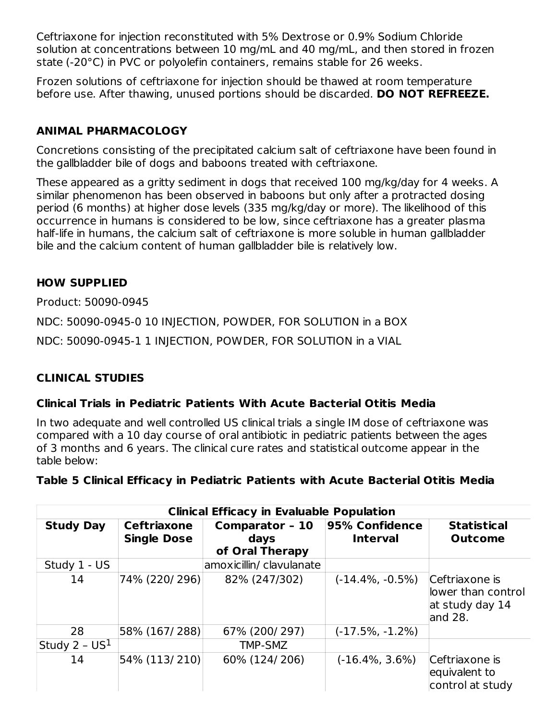Ceftriaxone for injection reconstituted with 5% Dextrose or 0.9% Sodium Chloride solution at concentrations between 10 mg/mL and 40 mg/mL, and then stored in frozen state (-20°C) in PVC or polyolefin containers, remains stable for 26 weeks.

Frozen solutions of ceftriaxone for injection should be thawed at room temperature before use. After thawing, unused portions should be discarded. **DO NOT REFREEZE.**

## **ANIMAL PHARMACOLOGY**

Concretions consisting of the precipitated calcium salt of ceftriaxone have been found in the gallbladder bile of dogs and baboons treated with ceftriaxone.

These appeared as a gritty sediment in dogs that received 100 mg/kg/day for 4 weeks. A similar phenomenon has been observed in baboons but only after a protracted dosing period (6 months) at higher dose levels (335 mg/kg/day or more). The likelihood of this occurrence in humans is considered to be low, since ceftriaxone has a greater plasma half-life in humans, the calcium salt of ceftriaxone is more soluble in human gallbladder bile and the calcium content of human gallbladder bile is relatively low.

## **HOW SUPPLIED**

Product: 50090-0945

NDC: 50090-0945-0 10 INJECTION, POWDER, FOR SOLUTION in a BOX

NDC: 50090-0945-1 1 INJECTION, POWDER, FOR SOLUTION in a VIAL

## **CLINICAL STUDIES**

#### **Clinical Trials in Pediatric Patients With Acute Bacterial Otitis Media**

In two adequate and well controlled US clinical trials a single IM dose of ceftriaxone was compared with a 10 day course of oral antibiotic in pediatric patients between the ages of 3 months and 6 years. The clinical cure rates and statistical outcome appear in the table below:

## **Table 5 Clinical Efficacy in Pediatric Patients with Acute Bacterial Otitis Media**

| <b>Clinical Efficacy in Evaluable Population</b> |                                          |                                                   |                                   |                                                                    |  |  |
|--------------------------------------------------|------------------------------------------|---------------------------------------------------|-----------------------------------|--------------------------------------------------------------------|--|--|
| <b>Study Day</b>                                 | <b>Ceftriaxone</b><br><b>Single Dose</b> | <b>Comparator - 10</b><br>days<br>of Oral Therapy | 95% Confidence<br><b>Interval</b> | <b>Statistical</b><br><b>Outcome</b>                               |  |  |
| Study 1 - US                                     |                                          | amoxicillin/clavulanate                           |                                   |                                                                    |  |  |
| 14                                               | 74% (220/296)                            | 82% (247/302)                                     | $(-14.4\%, -0.5\%)$               | Ceftriaxone is<br>lower than control<br>at study day 14<br>and 28. |  |  |
| 28                                               | 58% (167/288)                            | 67% (200/297)                                     | $(-17.5\%, -1.2\%)$               |                                                                    |  |  |
| Study 2 - $US1$                                  |                                          | TMP-SMZ                                           |                                   |                                                                    |  |  |
| 14                                               | 54% (113/210)                            | 60% (124/206)                                     | $(-16.4\%, 3.6\%)$                | Ceftriaxone is<br>equivalent to<br>control at study                |  |  |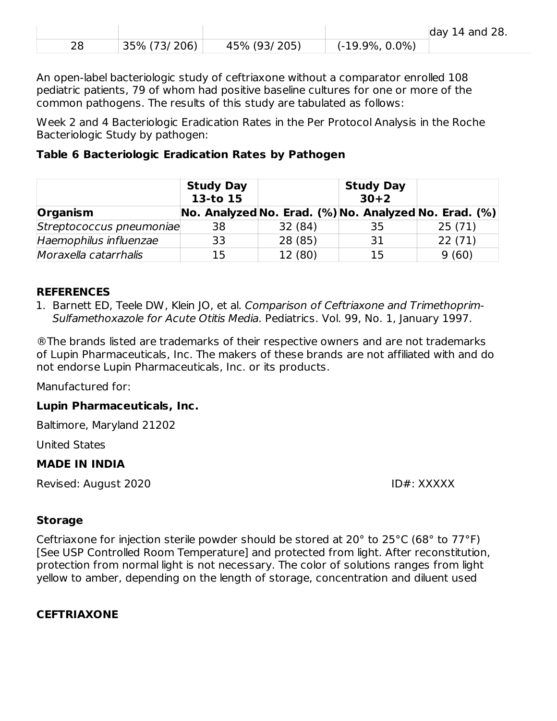|    |              |               |                    | day 14 and 28. |
|----|--------------|---------------|--------------------|----------------|
| 28 | 35% (73/206) | 45% (93/ 205) | $(-19.9\%, 0.0\%)$ |                |

An open-label bacteriologic study of ceftriaxone without a comparator enrolled 108 pediatric patients, 79 of whom had positive baseline cultures for one or more of the common pathogens. The results of this study are tabulated as follows:

Week 2 and 4 Bacteriologic Eradication Rates in the Per Protocol Analysis in the Roche Bacteriologic Study by pathogen:

#### **Table 6 Bacteriologic Eradication Rates by Pathogen**

|                          | <b>Study Day</b><br>13-to 15 |         | <b>Study Day</b><br>$30+2$ |                                                       |
|--------------------------|------------------------------|---------|----------------------------|-------------------------------------------------------|
| Organism                 |                              |         |                            | No. Analyzed No. Erad. (%) No. Analyzed No. Erad. (%) |
| Streptococcus pneumoniae | 38                           | 32 (84) | 35                         | 25(71)                                                |
| Haemophilus influenzae   | 33                           | 28 (85) | 31                         | 22(71)                                                |
| Moraxella catarrhalis    | 15                           | 12 (80) | 15                         | 9(60)                                                 |

#### **REFERENCES**

1. Barnett ED, Teele DW, Klein JO, et al. Comparison of Ceftriaxone and Trimethoprim-Sulfamethoxazole for Acute Otitis Media. Pediatrics. Vol. 99, No. 1, January 1997.

®The brands listed are trademarks of their respective owners and are not trademarks of Lupin Pharmaceuticals, Inc. The makers of these brands are not affiliated with and do not endorse Lupin Pharmaceuticals, Inc. or its products.

Manufactured for:

#### **Lupin Pharmaceuticals, Inc.**

Baltimore, Maryland 21202

United States

#### **MADE IN INDIA**

Revised: August 2020 **ID#: XXXXXX** 

#### **Storage**

Ceftriaxone for injection sterile powder should be stored at 20° to 25°C (68° to 77°F) [See USP Controlled Room Temperature] and protected from light. After reconstitution, protection from normal light is not necessary. The color of solutions ranges from light yellow to amber, depending on the length of storage, concentration and diluent used

#### **CEFTRIAXONE**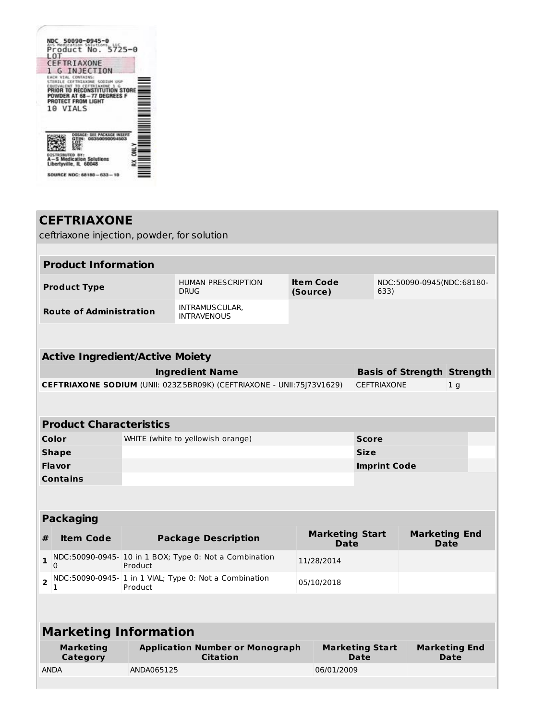|         | A-S Medication Solutions                                   | 5725-0 |  |
|---------|------------------------------------------------------------|--------|--|
| L O.T.  |                                                            |        |  |
|         | <b>CEFTRIAXONE</b>                                         |        |  |
| 1       | <b>G INJECTION</b>                                         |        |  |
| EDUIVAI | NT TO CEFTRI                                               |        |  |
|         | PRIOR TO RECONSTITUTION STORE<br>POWDER AT 68-77 DEGREES F |        |  |
|         | PROTECT FROM LIGHT                                         |        |  |
|         | 10 VIALS                                                   |        |  |
|         |                                                            |        |  |
|         |                                                            |        |  |
|         |                                                            |        |  |
|         |                                                            |        |  |
|         |                                                            |        |  |
|         |                                                            |        |  |
|         | A-S Medication Solutions<br>Libertyville, IL 60048         |        |  |

| <b>CEFTRIAXONE</b><br>ceftriaxone injection, powder, for solution |                                                                       |                                        |                                       |                                |                                     |                              |  |  |
|-------------------------------------------------------------------|-----------------------------------------------------------------------|----------------------------------------|---------------------------------------|--------------------------------|-------------------------------------|------------------------------|--|--|
| <b>Product Information</b>                                        |                                                                       |                                        |                                       |                                |                                     |                              |  |  |
| <b>Product Type</b>                                               | <b>HUMAN PRESCRIPTION</b><br><b>DRUG</b>                              |                                        | <b>Item Code</b><br>633)<br>(Source)  |                                | NDC:50090-0945(NDC:68180-           |                              |  |  |
| <b>Route of Administration</b>                                    | INTRAMUS CULAR,<br><b>INTRAVENOUS</b>                                 |                                        |                                       |                                |                                     |                              |  |  |
|                                                                   |                                                                       |                                        |                                       |                                |                                     |                              |  |  |
| <b>Active Ingredient/Active Moiety</b>                            |                                                                       |                                        |                                       |                                |                                     |                              |  |  |
| <b>Ingredient Name</b>                                            |                                                                       |                                        | <b>Basis of Strength Strength</b>     |                                |                                     |                              |  |  |
|                                                                   | CEFTRIAXONE SODIUM (UNII: 023Z5BR09K) (CEFTRIAXONE - UNII:75 73V1629) |                                        |                                       | <b>CEFTRIAXONE</b>             |                                     | 1 <sub>q</sub>               |  |  |
|                                                                   |                                                                       |                                        |                                       |                                |                                     |                              |  |  |
| <b>Product Characteristics</b>                                    |                                                                       |                                        |                                       |                                |                                     |                              |  |  |
| Color<br>WHITE (white to yellowish orange)                        |                                                                       |                                        |                                       | <b>Score</b>                   |                                     |                              |  |  |
| <b>Shape</b>                                                      |                                                                       |                                        |                                       | <b>Size</b>                    |                                     |                              |  |  |
| Flavor                                                            |                                                                       |                                        |                                       | <b>Imprint Code</b>            |                                     |                              |  |  |
| <b>Contains</b>                                                   |                                                                       |                                        |                                       |                                |                                     |                              |  |  |
|                                                                   |                                                                       |                                        |                                       |                                |                                     |                              |  |  |
| <b>Packaging</b>                                                  |                                                                       |                                        |                                       |                                |                                     |                              |  |  |
| #<br><b>Item Code</b>                                             | <b>Package Description</b>                                            |                                        | <b>Marketing Start</b><br><b>Date</b> |                                | <b>Marketing End</b><br><b>Date</b> |                              |  |  |
| $\mathbf{1}$<br>Product<br>$\Omega$                               | NDC:50090-0945- 10 in 1 BOX; Type 0: Not a Combination                | 11/28/2014                             |                                       |                                |                                     |                              |  |  |
| $\overline{2}$<br>1<br>Product                                    | NDC:50090-0945- 1 in 1 VIAL; Type 0: Not a Combination                | 05/10/2018                             |                                       |                                |                                     |                              |  |  |
|                                                                   |                                                                       |                                        |                                       |                                |                                     |                              |  |  |
| <b>Marketing Information</b>                                      |                                                                       |                                        |                                       |                                |                                     |                              |  |  |
| <b>Marketing</b><br>Category                                      | <b>Citation</b>                                                       | <b>Application Number or Monograph</b> |                                       | <b>Marketing Start</b><br>Date |                                     | <b>Marketing End</b><br>Date |  |  |
| <b>ANDA</b><br>ANDA065125                                         |                                                                       |                                        | 06/01/2009                            |                                |                                     |                              |  |  |